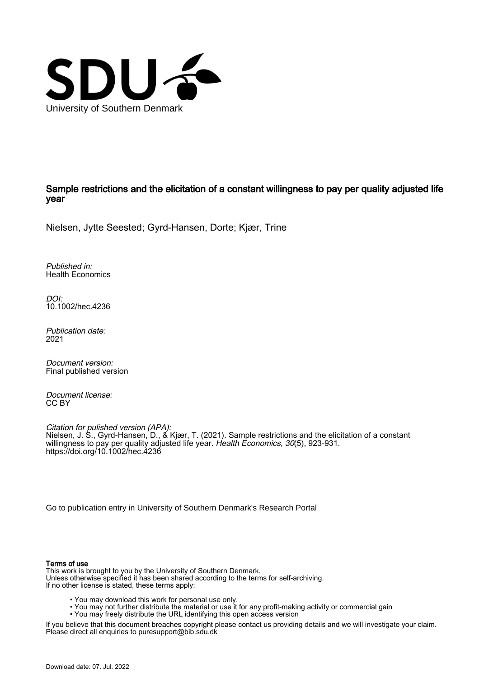

Sample restrictions and the elicitation of a constant willingness to pay per quality adjusted life year

Nielsen, Jytte Seested; Gyrd-Hansen, Dorte; Kjær, Trine

Published in: Health Economics

DOI: [10.1002/hec.4236](https://doi.org/10.1002/hec.4236)

Publication date: 2021

Document version: Final published version

Document license: CC BY

Citation for pulished version (APA): Nielsen, J. S., Gyrd-Hansen, D., & Kjær, T. (2021). Sample restrictions and the elicitation of a constant willingness to pay per quality adjusted life year. *Health Economics, 30*(5), 923-931. <https://doi.org/10.1002/hec.4236>

[Go to publication entry in University of Southern Denmark's Research Portal](https://portal.findresearcher.sdu.dk/en/publications/e2025caf-0978-4c45-b7d9-c441c77a0511)

#### Terms of use

This work is brought to you by the University of Southern Denmark. Unless otherwise specified it has been shared according to the terms for self-archiving. If no other license is stated, these terms apply:

- You may download this work for personal use only.
- You may not further distribute the material or use it for any profit-making activity or commercial gain
	- You may freely distribute the URL identifying this open access version

If you believe that this document breaches copyright please contact us providing details and we will investigate your claim. Please direct all enquiries to puresupport@bib.sdu.dk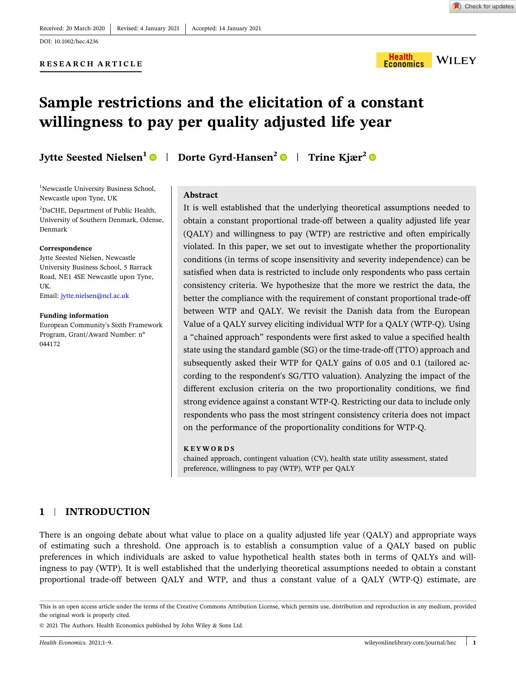#### **RESEARCH ARTICLE**



# **Sample restrictions and the elicitation of a constant willingness to pay per quality adjusted life year**

**Jytte Seested Nielsen1** | **Dorte Gyrd‐Hansen<sup>2</sup>** | **Trine Kjær<sup>2</sup>**

#### <sup>1</sup>Newcastle University Business School, Newcastle upon Tyne, UK

2 DaCHE, Department of Public Health, University of Southern Denmark, Odense, Denmark

#### **Correspondence**

Jytte Seested Nielsen, Newcastle University Business School, 5 Barrack Road, NE1 4SE Newcastle upon Tyne, UK. Email: [jytte.nielsen@ncl.ac.uk](mailto:jytte.nielsen@ncl.ac.uk)

#### **Funding information**

European Community's Sixth Framework Program, Grant/Award Number: n° 044172

## **Abstract**

It is well established that the underlying theoretical assumptions needed to obtain a constant proportional trade‐off between a quality adjusted life year (QALY) and willingness to pay (WTP) are restrictive and often empirically violated. In this paper, we set out to investigate whether the proportionality conditions (in terms of scope insensitivity and severity independence) can be satisfied when data is restricted to include only respondents who pass certain consistency criteria. We hypothesize that the more we restrict the data, the better the compliance with the requirement of constant proportional trade‐off between WTP and QALY. We revisit the Danish data from the European Value of a QALY survey eliciting individual WTP for a QALY (WTP‐Q). Using a "chained approach" respondents were first asked to value a specified health state using the standard gamble (SG) or the time‐trade‐off (TTO) approach and subsequently asked their WTP for QALY gains of 0.05 and 0.1 (tailored according to the respondent's SG/TTO valuation). Analyzing the impact of the different exclusion criteria on the two proportionality conditions, we find strong evidence against a constant WTP‐Q. Restricting our data to include only respondents who pass the most stringent consistency criteria does not impact on the performance of the proportionality conditions for WTP‐Q.

#### **KEYWORDS**

chained approach, contingent valuation (CV), health state utility assessment, stated preference, willingness to pay (WTP), WTP per QALY

## **1** <sup>|</sup> **INTRODUCTION**

There is an ongoing debate about what value to place on a quality adjusted life year (QALY) and appropriate ways of estimating such a threshold. One approach is to establish a consumption value of a QALY based on public preferences in which individuals are asked to value hypothetical health states both in terms of QALYs and willingness to pay (WTP). It is well established that the underlying theoretical assumptions needed to obtain a constant proportional trade‐off between QALY and WTP, and thus a constant value of a QALY (WTP‐Q) estimate, are

This is an open access article under the terms of the Creative Commons Attribution License, which permits use, distribution and reproduction in any medium, provided the original work is properly cited.

<sup>©</sup> 2021 The Authors. Health Economics published by John Wiley & Sons Ltd.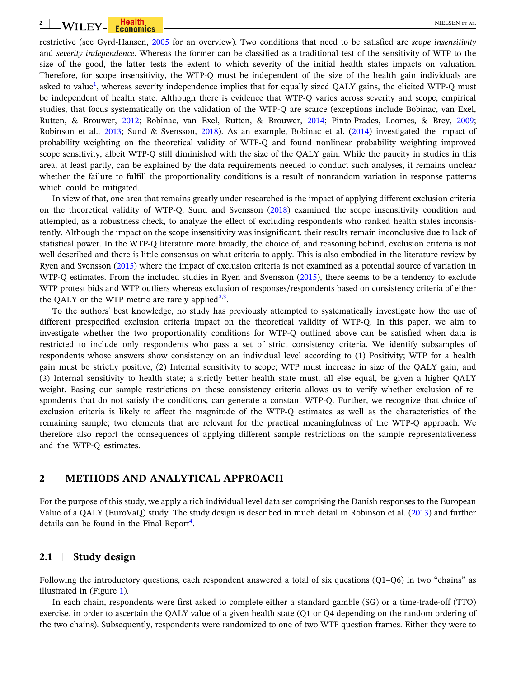#### **2** WILEY-FECONOMICS - NEWSLET ALL AND RELISEN ET AL.

restrictive (see Gyrd‐Hansen, [2005](#page-9-0) for an overview). Two conditions that need to be satisfied are *scope insensitivity* and *severity independence*. Whereas the former can be classified as a traditional test of the sensitivity of WTP to the size of the good, the latter tests the extent to which severity of the initial health states impacts on valuation. Therefore, for scope insensitivity, the WTP-Q must be independent of the size of the health gain individuals are asked to value<sup>[1](#page-8-0)</sup>, whereas severity independence implies that for equally sized QALY gains, the elicited WTP-Q must be independent of health state. Although there is evidence that WTP‐Q varies across severity and scope, empirical studies, that focus systematically on the validation of the WTP‐Q are scarce (exceptions include Bobinac, van Exel, Rutten, & Brouwer, [2012;](#page-9-0) Bobinac, van Exel, Rutten, & Brouwer, [2014;](#page-9-0) Pinto‐Prades, Loomes, & Brey, [2009](#page-9-0); Robinson et al., [2013](#page-9-0); Sund & Svensson, [2018\)](#page-9-0). As an example, Bobinac et al. [\(2014\)](#page-9-0) investigated the impact of probability weighting on the theoretical validity of WTP‐Q and found nonlinear probability weighting improved scope sensitivity, albeit WTP-Q still diminished with the size of the QALY gain. While the paucity in studies in this area, at least partly, can be explained by the data requirements needed to conduct such analyses, it remains unclear whether the failure to fulfill the proportionality conditions is a result of nonrandom variation in response patterns which could be mitigated.

In view of that, one area that remains greatly under-researched is the impact of applying different exclusion criteria on the theoretical validity of WTP‐Q. Sund and Svensson ([2018\)](#page-9-0) examined the scope insensitivity condition and attempted, as a robustness check, to analyze the effect of excluding respondents who ranked health states inconsistently. Although the impact on the scope insensitivity was insignificant, their results remain inconclusive due to lack of statistical power. In the WTP‐Q literature more broadly, the choice of, and reasoning behind, exclusion criteria is not well described and there is little consensus on what criteria to apply. This is also embodied in the literature review by Ryen and Svensson ([2015\)](#page-9-0) where the impact of exclusion criteria is not examined as a potential source of variation in WTP-Q estimates. From the included studies in Ryen and Svensson [\(2015\)](#page-9-0), there seems to be a tendency to exclude WTP protest bids and WTP outliers whereas exclusion of responses/respondents based on consistency criteria of either the QALY or the WTP metric are rarely applied<sup>[2](#page-8-0),[3](#page-9-0)</sup>.

To the authors' best knowledge, no study has previously attempted to systematically investigate how the use of different prespecified exclusion criteria impact on the theoretical validity of WTP‐Q. In this paper, we aim to investigate whether the two proportionality conditions for WTP‐Q outlined above can be satisfied when data is restricted to include only respondents who pass a set of strict consistency criteria. We identify subsamples of respondents whose answers show consistency on an individual level according to (1) Positivity; WTP for a health gain must be strictly positive, (2) Internal sensitivity to scope; WTP must increase in size of the QALY gain, and (3) Internal sensitivity to health state; a strictly better health state must, all else equal, be given a higher QALY weight. Basing our sample restrictions on these consistency criteria allows us to verify whether exclusion of respondents that do not satisfy the conditions, can generate a constant WTP-Q. Further, we recognize that choice of exclusion criteria is likely to affect the magnitude of the WTP‐Q estimates as well as the characteristics of the remaining sample; two elements that are relevant for the practical meaningfulness of the WTP‐Q approach. We therefore also report the consequences of applying different sample restrictions on the sample representativeness and the WTP‐Q estimates.

## **2** <sup>|</sup> **METHODS AND ANALYTICAL APPROACH**

For the purpose of this study, we apply a rich individual level data set comprising the Danish responses to the European Value of a QALY (EuroVaQ) study. The study design is described in much detail in Robinson et al. ([2013\)](#page-9-0) and further details can be found in the Final Report<sup>[4](#page-9-0)</sup>.

#### **2.1** <sup>|</sup> **Study design**

Following the introductory questions, each respondent answered a total of six questions (Q1–Q6) in two "chains" as illustrated in (Figure [1\)](#page-3-0).

In each chain, respondents were first asked to complete either a standard gamble (SG) or a time-trade-off (TTO) exercise, in order to ascertain the QALY value of a given health state (Q1 or Q4 depending on the random ordering of the two chains). Subsequently, respondents were randomized to one of two WTP question frames. Either they were to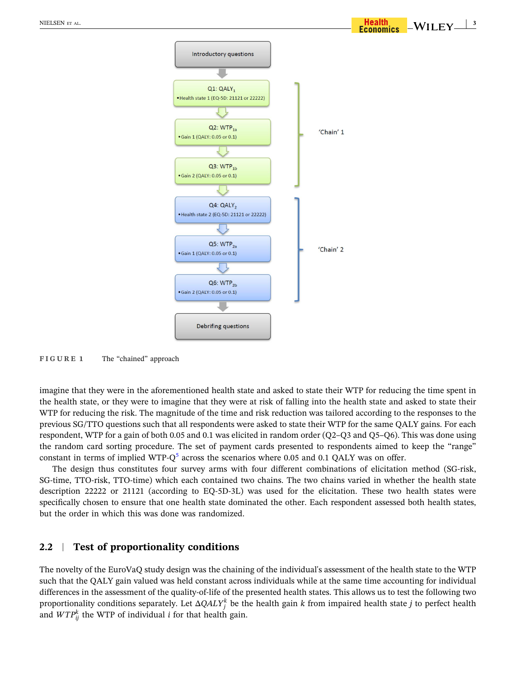<span id="page-3-0"></span>

 $-WILEY \perp^3$ 

**FIGURE 1** The "chained" approach

imagine that they were in the aforementioned health state and asked to state their WTP for reducing the time spent in the health state, or they were to imagine that they were at risk of falling into the health state and asked to state their WTP for reducing the risk. The magnitude of the time and risk reduction was tailored according to the responses to the previous SG/TTO questions such that all respondents were asked to state their WTP for the same QALY gains. For each respondent, WTP for a gain of both 0.05 and 0.1 was elicited in random order (Q2–Q3 and Q5–Q6). This was done using the random card sorting procedure. The set of payment cards presented to respondents aimed to keep the "range" constant in terms of implied WTP- $Q^5$  $Q^5$  across the scenarios where 0.05 and 0.1 QALY was on offer.

The design thus constitutes four survey arms with four different combinations of elicitation method (SG‐risk, SG-time, TTO-risk, TTO-time) which each contained two chains. The two chains varied in whether the health state description 22222 or 21121 (according to EQ‐5D‐3L) was used for the elicitation. These two health states were specifically chosen to ensure that one health state dominated the other. Each respondent assessed both health states, but the order in which this was done was randomized.

## **2.2** <sup>|</sup> **Test of proportionality conditions**

The novelty of the EuroVaQ study design was the chaining of the individual's assessment of the health state to the WTP such that the QALY gain valued was held constant across individuals while at the same time accounting for individual differences in the assessment of the quality‐of‐life of the presented health states. This allows us to test the following two proportionality conditions separately. Let  $\Delta QALY^k_j$  be the health gain  $k$  from impaired health state  $j$  to perfect health and  $WTP_{ij}^k$  the WTP of individual *i* for that health gain.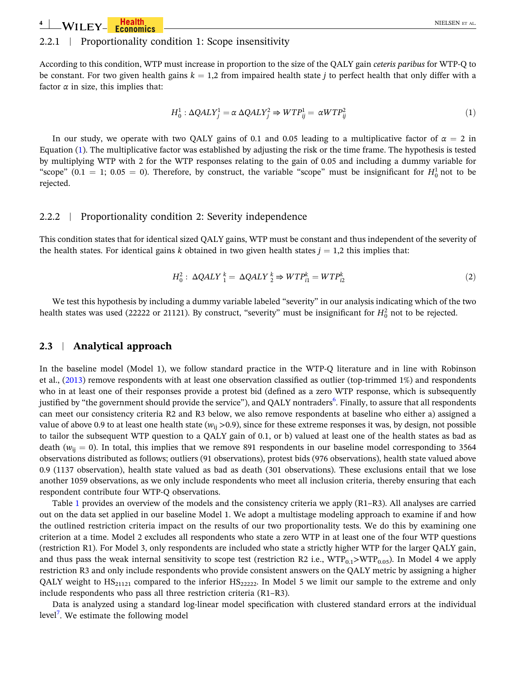<span id="page-4-0"></span>**4** | **W**II FY **FIGUILE ALL EXECUTES EXECUTE ALL EXECUTES ALL EXECUTES ALL EXECUTES ALL EXECUTIVE ALL EXECUTIVE ALL** 

## 2.2.1 <sup>|</sup> Proportionality condition 1: Scope insensitivity

According to this condition, WTP must increase in proportion to the size of the QALY gain *ceteris paribus* for WTP‐Q to be constant. For two given health gains  $k = 1,2$  from impaired health state *j* to perfect health that only differ with a factor  $\alpha$  in size, this implies that:

$$
H_0^1: \Delta QALY_j^1 = \alpha \Delta QALY_j^2 \Rightarrow WTP_{ij}^1 = \alpha WTP_{ij}^2 \tag{1}
$$

In our study, we operate with two QALY gains of 0.1 and 0.05 leading to a multiplicative factor of  $\alpha = 2$  in Equation (1). The multiplicative factor was established by adjusting the risk or the time frame. The hypothesis is tested by multiplying WTP with 2 for the WTP responses relating to the gain of 0.05 and including a dummy variable for "scope"  $(0.1 = 1; 0.05 = 0)$ . Therefore, by construct, the variable "scope" must be insignificant for  $H_0^1$  not to be rejected.

#### 2.2.2 <sup>|</sup> Proportionality condition 2: Severity independence

This condition states that for identical sized QALY gains, WTP must be constant and thus independent of the severity of the health states. For identical gains *k* obtained in two given health states  $j = 1,2$  this implies that:

$$
H_0^2: \ \Delta QALY_A^k = \ \Delta QALY_A^k \Rightarrow WTP_{i1}^k = WTP_{i2}^k \tag{2}
$$

We test this hypothesis by including a dummy variable labeled "severity" in our analysis indicating which of the two health states was used (22222 or 21121). By construct, "severity" must be insignificant for  $H_0^2$  not to be rejected.

## **2.3** <sup>|</sup> **Analytical approach**

In the baseline model (Model 1), we follow standard practice in the WTP-Q literature and in line with Robinson et al.,  $(2013)$  $(2013)$  remove respondents with at least one observation classified as outlier (top-trimmed 1%) and respondents who in at least one of their responses provide a protest bid (defined as a zero WTP response, which is subsequently justified by "the government should provide the service"), and QALY nontraders<sup>[6](#page-9-0)</sup>. Finally, to assure that all respondents can meet our consistency criteria R2 and R3 below, we also remove respondents at baseline who either a) assigned a value of above 0.9 to at least one health state ( $w_{ii} > 0.9$ ), since for these extreme responses it was, by design, not possible to tailor the subsequent WTP question to a QALY gain of 0.1, or b) valued at least one of the health states as bad as death ( $w_{ii} = 0$ ). In total, this implies that we remove 891 respondents in our baseline model corresponding to 3564 observations distributed as follows; outliers (91 observations), protest bids (976 observations), health state valued above 0.9 (1137 observation), health state valued as bad as death (301 observations). These exclusions entail that we lose another 1059 observations, as we only include respondents who meet all inclusion criteria, thereby ensuring that each respondent contribute four WTP‐Q observations.

Table [1](#page-5-0) provides an overview of the models and the consistency criteria we apply (R1–R3). All analyses are carried out on the data set applied in our baseline Model 1. We adopt a multistage modeling approach to examine if and how the outlined restriction criteria impact on the results of our two proportionality tests. We do this by examining one criterion at a time. Model 2 excludes all respondents who state a zero WTP in at least one of the four WTP questions (restriction R1). For Model 3, only respondents are included who state a strictly higher WTP for the larger QALY gain, and thus pass the weak internal sensitivity to scope test (restriction R2 i.e.,  $WTP_{0.1}>WTP_{0.05}$ ). In Model 4 we apply restriction R3 and only include respondents who provide consistent answers on the QALY metric by assigning a higher QALY weight to  $HS_{21121}$  compared to the inferior  $HS_{22222}$ . In Model 5 we limit our sample to the extreme and only include respondents who pass all three restriction criteria (R1–R3).

Data is analyzed using a standard log-linear model specification with clustered standard errors at the individual level<sup>7</sup>. We estimate the following model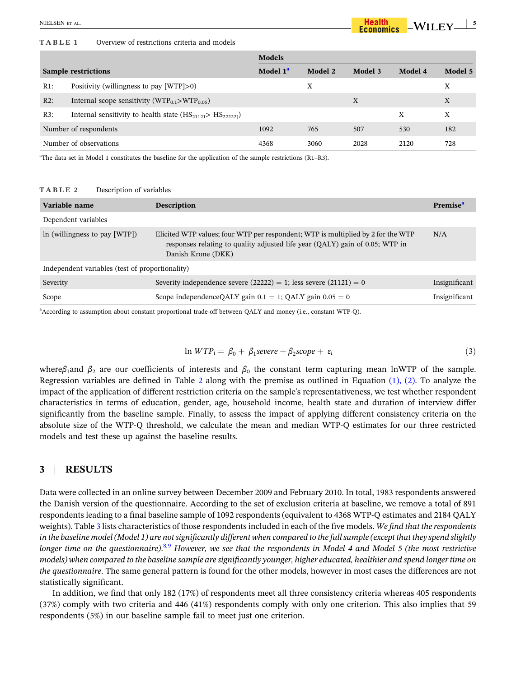#### <span id="page-5-0"></span>**TABLE 1** Overview of restrictions criteria and models

|                            |                                                                       | <b>Models</b>        |         |         |         |         |
|----------------------------|-----------------------------------------------------------------------|----------------------|---------|---------|---------|---------|
| <b>Sample restrictions</b> |                                                                       | Model 1 <sup>a</sup> | Model 2 | Model 3 | Model 4 | Model 5 |
| $R1$ :                     | Positivity (willingness to pay $[WTP] > 0$ )                          |                      | X       |         |         | X       |
| $R2$ :                     | Internal scope sensitivity (WTP <sub>0.1</sub> >WTP <sub>0.05</sub> ) |                      |         | X       |         | X       |
| R3:                        | Internal sensitivity to health state $(HS_{21121} > HS_{22222})$      |                      |         |         | X       | X       |
| Number of respondents      |                                                                       | 1092                 | 765     | 507     | 530     | 182     |
| Number of observations     |                                                                       | 4368                 | 3060    | 2028    | 2120    | 728     |

<sup>a</sup>The data set in Model 1 constitutes the baseline for the application of the sample restrictions (R1-R3).

#### **TABLE 2** Description of variables

| Variable name                                   | <b>Description</b>                                                                                                                                                                     | <b>Premise</b> |  |  |  |  |  |
|-------------------------------------------------|----------------------------------------------------------------------------------------------------------------------------------------------------------------------------------------|----------------|--|--|--|--|--|
| Dependent variables                             |                                                                                                                                                                                        |                |  |  |  |  |  |
| In (willingness to pay $[WTP]$ )                | Elicited WTP values; four WTP per respondent; WTP is multiplied by 2 for the WTP<br>responses relating to quality adjusted life year (QALY) gain of 0.05; WTP in<br>Danish Krone (DKK) | N/A            |  |  |  |  |  |
| Independent variables (test of proportionality) |                                                                                                                                                                                        |                |  |  |  |  |  |
| Severity                                        | Severity independence severe $(22222) = 1$ ; less severe $(21121) = 0$                                                                                                                 | Insignificant  |  |  |  |  |  |
| Scope                                           | Scope independence QALY gain $0.1 = 1$ ; QALY gain $0.05 = 0$                                                                                                                          | Insignificant  |  |  |  |  |  |

a According to assumption about constant proportional trade‐off between QALY and money (i.e., constant WTP‐Q).

$$
\ln WTP_i = \beta_0 + \beta_1 \text{severe} + \beta_2 \text{scope} + \varepsilon_i \tag{3}
$$

 $-WILEY \perp$ <sup>5</sup>

where $β$ <sub>1</sub>and  $β$ <sub>2</sub> are our coefficients of interests and  $β$ <sub>0</sub> the constant term capturing mean lnWTP of the sample. Regression variables are defined in Table 2 along with the premise as outlined in Equation [\(1\),](#page-4-0) (2). To analyze the impact of the application of different restriction criteria on the sample's representativeness, we test whether respondent characteristics in terms of education, gender, age, household income, health state and duration of interview differ significantly from the baseline sample. Finally, to assess the impact of applying different consistency criteria on the absolute size of the WTP‐Q threshold, we calculate the mean and median WTP‐Q estimates for our three restricted models and test these up against the baseline results.

## **3** <sup>|</sup> **RESULTS**

Data were collected in an online survey between December 2009 and February 2010. In total, 1983 respondents answered the Danish version of the questionnaire. According to the set of exclusion criteria at baseline, we remove a total of 891 respondents leading to a final baseline sample of 1092 respondents (equivalent to 4368 WTP‐Q estimates and 2184 QALY weights). Table [3](#page-6-0) lists characteristics of those respondentsincluded in each of the five models. *We find that the respondents* in the baseline model (Model 1) are not significantly different when compared to the full sample (except that they spend slightly longer time on the questionnaire).<sup>[8](#page-9-0),[9](#page-9-0)</sup> However, we see that the respondents in Model 4 and Model 5 (the most restrictive models) when compared to the baseline sample are significantly younger, higher educated, healthier and spend longer time on *the questionnaire*. The same general pattern is found for the other models, however in most cases the differences are not statistically significant.

In addition, we find that only 182 (17%) of respondents meet all three consistency criteria whereas 405 respondents (37%) comply with two criteria and 446 (41%) respondents comply with only one criterion. This also implies that 59 respondents (5%) in our baseline sample fail to meet just one criterion.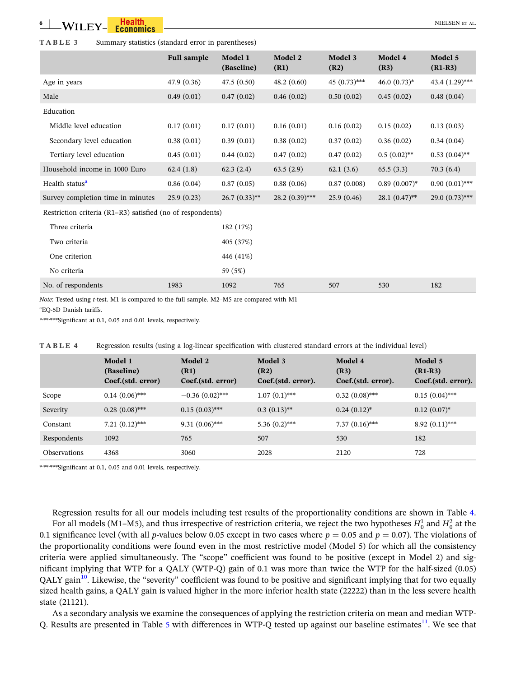#### <span id="page-6-0"></span>**TABLE 3** Summary statistics (standard error in parentheses)

|                                                            | <b>Full sample</b> | Model 1<br>(Baseline) | Model 2<br>(R1)  | Model 3<br>(R2) | Model 4<br>(R3)  | Model 5<br>$(R1-R3)$ |  |
|------------------------------------------------------------|--------------------|-----------------------|------------------|-----------------|------------------|----------------------|--|
| Age in years                                               | 47.9 (0.36)        | 47.5(0.50)            | 48.2(0.60)       | $45(0.73)$ ***  | $46.0(0.73)*$    | 43.4 (1.29)***       |  |
| Male                                                       | 0.49(0.01)         | 0.47(0.02)            | 0.46(0.02)       | 0.50(0.02)      | 0.45(0.02)       | 0.48(0.04)           |  |
| Education                                                  |                    |                       |                  |                 |                  |                      |  |
| Middle level education                                     | 0.17(0.01)         | 0.17(0.01)            | 0.16(0.01)       | 0.16(0.02)      | 0.15(0.02)       | 0.13(0.03)           |  |
| Secondary level education                                  | 0.38(0.01)         | 0.39(0.01)            | 0.38(0.02)       | 0.37(0.02)      | 0.36(0.02)       | 0.34(0.04)           |  |
| Tertiary level education                                   | 0.45(0.01)         | 0.44(0.02)            | 0.47(0.02)       | 0.47(0.02)      | $0.5(0.02)$ **   | $0.53(0.04)$ **      |  |
| Household income in 1000 Euro                              | 62.4(1.8)          | 62.3(2.4)             | 63.5(2.9)        | 62.1(3.6)       | 65.5(3.3)        | 70.3(6.4)            |  |
| Health status <sup>a</sup>                                 | 0.86(0.04)         | 0.87(0.05)            | 0.88(0.06)       | 0.87(0.008)     | $0.89(0.007)^*$  | $0.90(0.01)$ ***     |  |
| Survey completion time in minutes                          | 25.9(0.23)         | $26.7(0.33)$ **       | $28.2(0.39)$ *** | 25.9(0.46)      | $28.1 (0.47)$ ** | 29.0 (0.73)***       |  |
| Restriction criteria (R1–R3) satisfied (no of respondents) |                    |                       |                  |                 |                  |                      |  |
| Three criteria                                             |                    | 182 (17%)             |                  |                 |                  |                      |  |
| Two criteria                                               |                    | 405 (37%)             |                  |                 |                  |                      |  |
| One criterion                                              |                    | 446 (41%)             |                  |                 |                  |                      |  |
| No criteria                                                |                    | 59 (5%)               |                  |                 |                  |                      |  |
| No. of respondents                                         | 1983               | 1092                  | 765              | 507             | 530              | 182                  |  |

*Note*: Tested using *t*-test. M1 is compared to the full sample. M2–M5 are compared with M1

a EQ‐5D Danish tariffs.

\*\*\*\*\*\*\*Significant at 0.1, 0.05 and 0.01 levels, respectively.

|                     | Model 1<br>(Baseline)<br>Coef.(std. error) | Model 2<br>(R1)<br>Coef.(std. error) | Model 3<br>(R2)<br>Coef.(std. error). | Model 4<br>(R3)<br>Coef.(std. error). | Model 5<br>$(R1-R3)$<br>Coef.(std. error). |
|---------------------|--------------------------------------------|--------------------------------------|---------------------------------------|---------------------------------------|--------------------------------------------|
| Scope               | $0.14(0.06)$ ***                           | $-0.36(0.02)$ ***                    | $1.07(0.1)$ ***                       | $0.32(0.08)$ ***                      | $0.15(0.04)$ ***                           |
| Severity            | $0.28(0.08)$ ***                           | $0.15(0.03)$ ***                     | $0.3(0.13)$ **                        | $0.24(0.12)^*$                        | $0.12(0.07)^*$                             |
| Constant            | $7.21~(0.12)$ ***                          | $9.31(0.06)$ ***                     | $5.36(0.2)$ ***                       | $7.37(0.16)$ ***                      | $8.92(0.11)$ ***                           |
| Respondents         | 1092                                       | 765                                  | 507                                   | 530                                   | 182                                        |
| <b>Observations</b> | 4368                                       | 3060                                 | 2028                                  | 2120                                  | 728                                        |

**TABLE 4** Regression results (using a log-linear specification with clustered standard errors at the individual level)

\*\*\*\*\*\*\*Significant at 0.1, 0.05 and 0.01 levels, respectively.

Regression results for all our models including test results of the proportionality conditions are shown in Table 4. For all models (M1–M5), and thus irrespective of restriction criteria, we reject the two hypotheses  $H_0^1$  and  $H_0^2$  at the 0.1 significance level (with all *p*-values below 0.05 except in two cases where  $p = 0.05$  and  $p = 0.07$ ). The violations of the proportionality conditions were found even in the most restrictive model (Model 5) for which all the consistency criteria were applied simultaneously. The "scope" coefficient was found to be positive (except in Model 2) and significant implying that WTP for a QALY (WTP‐Q) gain of 0.1 was more than twice the WTP for the half‐sized (0.05) QALY gain<sup>10</sup>. Likewise, the "severity" coefficient was found to be positive and significant implying that for two equally sized health gains, a QALY gain is valued higher in the more inferior health state (22222) than in the less severe health state (21121).

As a secondary analysis we examine the consequences of applying the restriction criteria on mean and median WTP‐ Q. Results are presented in Table [5](#page-7-0) with differences in WTP-Q tested up against our baseline estimates $^{11}$ . We see that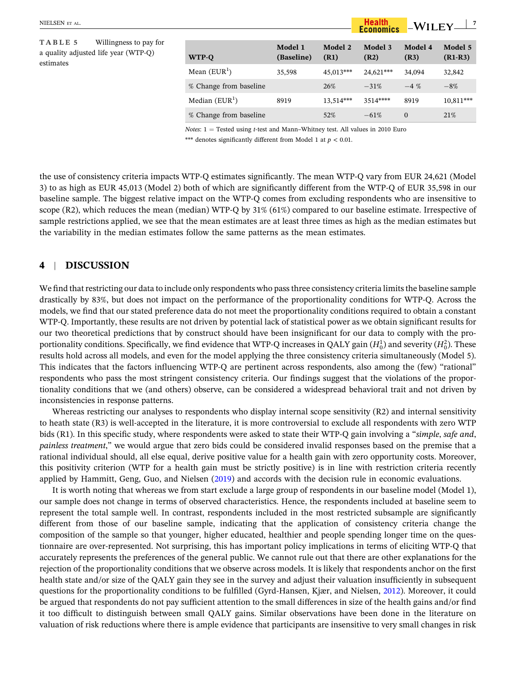<span id="page-7-0"></span>**TABLE 5** Willingness to pay for a quality adjusted life year (WTP‐Q) estimates

| WTP-O                  | Model 1<br>(Baseline) | Model 2<br>(R1) | Model 3<br>(R2) | Model 4<br>(R3) | Model 5<br>$(R1-R3)$ |
|------------------------|-----------------------|-----------------|-----------------|-----------------|----------------------|
| Mean $(EUR1)$          | 35,598                | 45.013***       | 24.621***       | 34.094          | 32,842               |
| % Change from baseline |                       | 26%             | $-31\%$         | $-4\%$          | $-8%$                |
| Median $(EUR1)$        | 8919                  | 13,514***       | $3514***$       | 8919            | $10,811***$          |
| % Change from baseline |                       | 52%             | $-61%$          | $\Omega$        | 21%                  |

 $-WILEY \perp^7$ 

Health<br>Economics

*Notes*:  $1 =$  Tested using *t*-test and Mann–Whitney test. All values in 2010 Euro

\*\*\* denotes significantly different from Model 1 at  $p < 0.01$ .

the use of consistency criteria impacts WTP‐Q estimates significantly. The mean WTP‐Q vary from EUR 24,621 (Model 3) to as high as EUR 45,013 (Model 2) both of which are significantly different from the WTP‐Q of EUR 35,598 in our baseline sample. The biggest relative impact on the WTP‐Q comes from excluding respondents who are insensitive to scope (R2), which reduces the mean (median) WTP-Q by  $31\%$  (61%) compared to our baseline estimate. Irrespective of sample restrictions applied, we see that the mean estimates are at least three times as high as the median estimates but the variability in the median estimates follow the same patterns as the mean estimates.

## **4** <sup>|</sup> **DISCUSSION**

We find that restricting our data to include only respondents who pass three consistency criteria limits the baseline sample drastically by 83%, but does not impact on the performance of the proportionality conditions for WTP‐Q. Across the models, we find that our stated preference data do not meet the proportionality conditions required to obtain a constant WTP‐Q. Importantly, these results are not driven by potential lack of statistical power as we obtain significant results for our two theoretical predictions that by construct should have been insignificant for our data to comply with the proportionality conditions. Specifically, we find evidence that WTP-Q increases in QALY gain  $(H_0^1)$  and severity  $(H_0^2)$ . These results hold across all models, and even for the model applying the three consistency criteria simultaneously (Model 5). This indicates that the factors influencing WTP‐Q are pertinent across respondents, also among the (few) "rational" respondents who pass the most stringent consistency criteria. Our findings suggest that the violations of the proportionality conditions that we (and others) observe, can be considered a widespread behavioral trait and not driven by inconsistencies in response patterns.

Whereas restricting our analyses to respondents who display internal scope sensitivity (R2) and internal sensitivity to heath state (R3) is well‐accepted in the literature, it is more controversial to exclude all respondents with zero WTP bids (R1). In this specific study, where respondents were asked to state their WTP‐Q gain involving a "*simple*, *safe and*, *painless treatment*," we would argue that zero bids could be considered invalid responses based on the premise that a rational individual should, all else equal, derive positive value for a health gain with zero opportunity costs. Moreover, this positivity criterion (WTP for a health gain must be strictly positive) is in line with restriction criteria recently applied by Hammitt, Geng, Guo, and Nielsen ([2019](#page-9-0)) and accords with the decision rule in economic evaluations.

It is worth noting that whereas we from start exclude a large group of respondents in our baseline model (Model 1), our sample does not change in terms of observed characteristics. Hence, the respondents included at baseline seem to represent the total sample well. In contrast, respondents included in the most restricted subsample are significantly different from those of our baseline sample, indicating that the application of consistency criteria change the composition of the sample so that younger, higher educated, healthier and people spending longer time on the questionnaire are over‐represented. Not surprising, this has important policy implications in terms of eliciting WTP‐Q that accurately represents the preferences of the general public. We cannot rule out that there are other explanations for the rejection of the proportionality conditions that we observe across models. It is likely that respondents anchor on the first health state and/or size of the QALY gain they see in the survey and adjust their valuation insufficiently in subsequent questions for the proportionality conditions to be fulfilled (Gyrd-Hansen, Kjær, and Nielsen, [2012](#page-9-0)). Moreover, it could be argued that respondents do not pay sufficient attention to the small differences in size of the health gains and/or find it too difficult to distinguish between small QALY gains. Similar observations have been done in the literature on valuation of risk reductions where there is ample evidence that participants are insensitive to very small changes in risk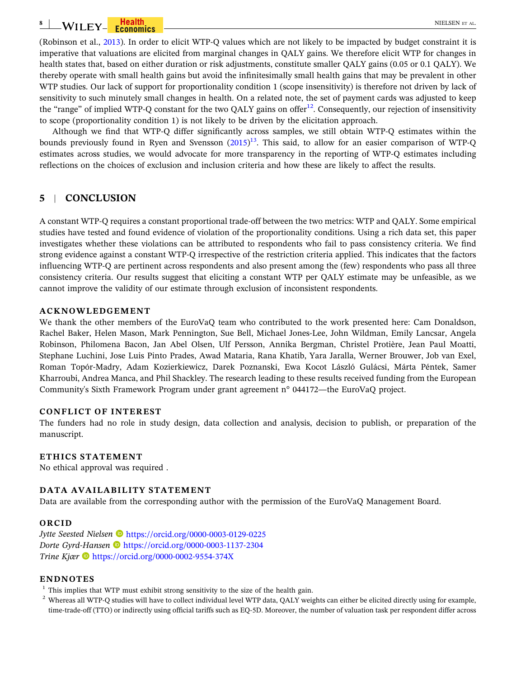<span id="page-8-0"></span>(Robinson et al., [2013\)](#page-9-0). In order to elicit WTP‐Q values which are not likely to be impacted by budget constraint it is imperative that valuations are elicited from marginal changes in QALY gains. We therefore elicit WTP for changes in health states that, based on either duration or risk adjustments, constitute smaller QALY gains (0.05 or 0.1 QALY). We thereby operate with small health gains but avoid the infinitesimally small health gains that may be prevalent in other WTP studies. Our lack of support for proportionality condition 1 (scope insensitivity) is therefore not driven by lack of sensitivity to such minutely small changes in health. On a related note, the set of payment cards was adjusted to keep the "range" of implied WTP-Q constant for the two QALY gains on offer<sup>12</sup>. Consequently, our rejection of insensitivity to scope (proportionality condition 1) is not likely to be driven by the elicitation approach.

Although we find that WTP‐Q differ significantly across samples, we still obtain WTP‐Q estimates within the bounds previously found in Ryen and Svensson ([2015](#page-9-0))<sup>[13](#page-9-0)</sup>. This said, to allow for an easier comparison of WTP-Q estimates across studies, we would advocate for more transparency in the reporting of WTP‐Q estimates including reflections on the choices of exclusion and inclusion criteria and how these are likely to affect the results.

## **5** <sup>|</sup> **CONCLUSION**

A constant WTP‐Q requires a constant proportional trade‐off between the two metrics: WTP and QALY. Some empirical studies have tested and found evidence of violation of the proportionality conditions. Using a rich data set, this paper investigates whether these violations can be attributed to respondents who fail to pass consistency criteria. We find strong evidence against a constant WTP‐Q irrespective of the restriction criteria applied. This indicates that the factors influencing WTP‐Q are pertinent across respondents and also present among the (few) respondents who pass all three consistency criteria. Our results suggest that eliciting a constant WTP per QALY estimate may be unfeasible, as we cannot improve the validity of our estimate through exclusion of inconsistent respondents.

#### **ACKNOWLEDGEMENT**

We thank the other members of the EuroVaO team who contributed to the work presented here: Cam Donaldson, Rachel Baker, Helen Mason, Mark Pennington, Sue Bell, Michael Jones‐Lee, John Wildman, Emily Lancsar, Angela Robinson, Philomena Bacon, Jan Abel Olsen, Ulf Persson, Annika Bergman, Christel Protière, Jean Paul Moatti, Stephane Luchini, Jose Luis Pinto Prades, Awad Mataria, Rana Khatib, Yara Jaralla, Werner Brouwer, Job van Exel, Roman Topór‐Madry, Adam Kozierkiewicz, Darek Poznanski, Ewa Kocot László Gulácsi, Márta Péntek, Samer Kharroubi, Andrea Manca, and Phil Shackley. The research leading to these results received funding from the European Community's Sixth Framework Program under grant agreement n° 044172—the EuroVaQ project.

## **CONFLICT OF INTEREST**

The funders had no role in study design, data collection and analysis, decision to publish, or preparation of the manuscript.

## **ETHICS STATEMENT**

No ethical approval was required .

## **DATA AVAILABILITY STATEMENT**

Data are available from the corresponding author with the permission of the EuroVaQ Management Board.

#### **ORCID**

*Jytte Seested Nielsen* <https://orcid.org/0000-0003-0129-0225> *Dorte Gyrd‐Hansen* <https://orcid.org/0000-0003-1137-2304> *Trine Kjær* <https://orcid.org/0000-0002-9554-374X>

## **ENDNOTES**

<sup>1</sup> This implies that WTP must exhibit strong sensitivity to the size of the health gain.

<sup>2</sup> Whereas all WTP-Q studies will have to collect individual level WTP data, QALY weights can either be elicited directly using for example, time‐trade‐off (TTO) or indirectly using official tariffs such as EQ‐5D. Moreover, the number of valuation task per respondent differ across